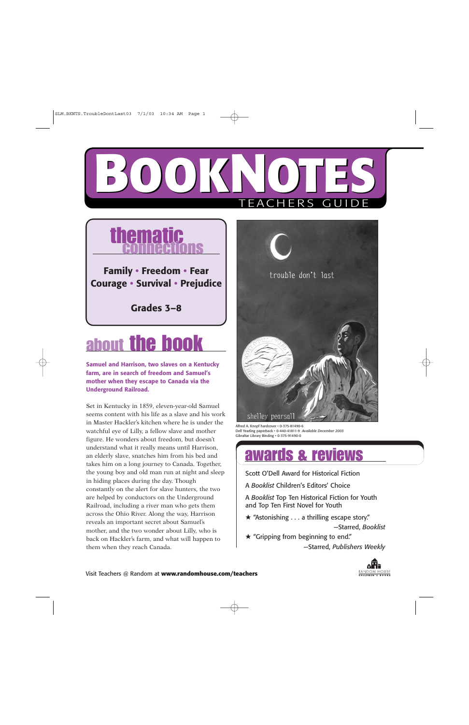



# about the book

**Samuel and Harrison, two slaves on a Kentucky farm, are in search of freedom and Samuel's mother when they escape to Canada via the Underground Railroad.**

Set in Kentucky in 1859, eleven-year-old Samuel seems content with his life as a slave and his work in Master Hackler's kitchen where he is under the watchful eye of Lilly, a fellow slave and mother figure. He wonders about freedom, but doesn't understand what it really means until Harrison, an elderly slave, snatches him from his bed and takes him on a long journey to Canada. Together, the young boy and old man run at night and sleep in hiding places during the day. Though constantly on the alert for slave hunters, the two are helped by conductors on the Underground Railroad, including a river man who gets them across the Ohio River. Along the way, Harrison reveals an important secret about Samuel's mother, and the two wonder about Lilly, who is back on Hackler's farm, and what will happen to them when they reach Canada.



Alfred A. Knopf hardcover • 0-375-81490-6 Dell Yearling paperback • 0-440-41811-9 *Available December 2003* Gibraltar Library Binding • 0-375-91490-0

## awards & reviews

Scott O'Dell Award for Historical Fiction

A *Booklist* Children's Editors' Choice

A *Booklist* Top Ten Historical Fiction for Youth and Top Ten First Novel for Youth

 $\star$  "Astonishing . . . a thrilling escape story."

—Starred, *Booklist*

★ "Gripping from beginning to end." —Starred, *Publishers Weekly*

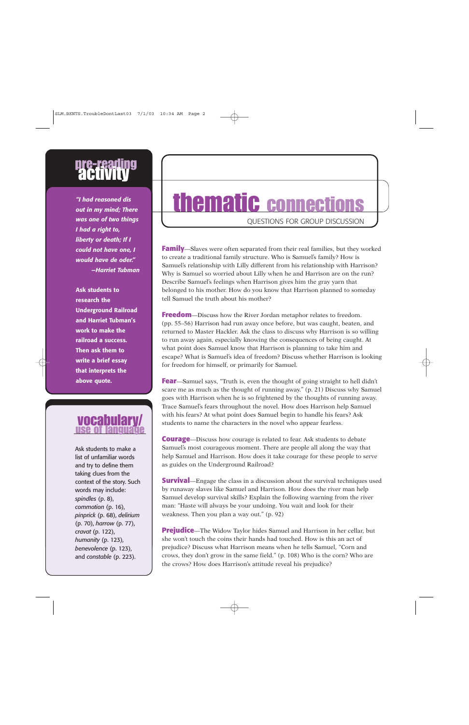# pre-reading<br>**activity**

*"I had reasoned dis out in my mind; There was one of two things I had a right to, liberty or death; If I could not have one, I would have de oder." —Harriet Tubman*

**Ask students to research the Underground Railroad and Harriet Tubman's work to make the railroad a success. Then ask them to write a brief essay that interprets the above quote.** 

# vocabula

Ask students to make a list of unfamiliar words and try to define them taking clues from the context of the story. Such words may include: *spindles* (p. 8), *commotion* (p. 16), *pinprick* (p. 68), *delirium* (p. 70), *harrow* (p. 77), *cravat* (p. 122), *humanity* (p. 123), *benevolence* (p. 123), and *constable* (p. 223).

# thematic connections

QUESTIONS FOR GROUP DISCUSSION

**Family**—Slaves were often separated from their real families, but they worked to create a traditional family structure. Who is Samuel's family? How is Samuel's relationship with Lilly different from his relationship with Harrison? Why is Samuel so worried about Lilly when he and Harrison are on the run? Describe Samuel's feelings when Harrison gives him the gray yarn that belonged to his mother. How do you know that Harrison planned to someday tell Samuel the truth about his mother?

**Freedom**—Discuss how the River Jordan metaphor relates to freedom. (pp. 55–56) Harrison had run away once before, but was caught, beaten, and returned to Master Hackler. Ask the class to discuss why Harrison is so willing to run away again, especially knowing the consequences of being caught. At what point does Samuel know that Harrison is planning to take him and escape? What is Samuel's idea of freedom? Discuss whether Harrison is looking for freedom for himself, or primarily for Samuel.

**Fear**—Samuel says, "Truth is, even the thought of going straight to hell didn't scare me as much as the thought of running away." (p. 21) Discuss why Samuel goes with Harrison when he is so frightened by the thoughts of running away. Trace Samuel's fears throughout the novel. How does Harrison help Samuel with his fears? At what point does Samuel begin to handle his fears? Ask students to name the characters in the novel who appear fearless.

**Courage**—Discuss how courage is related to fear. Ask students to debate Samuel's most courageous moment. There are people all along the way that help Samuel and Harrison. How does it take courage for these people to serve as guides on the Underground Railroad?

**Survival**—Engage the class in a discussion about the survival techniques used by runaway slaves like Samuel and Harrison. How does the river man help Samuel develop survival skills? Explain the following warning from the river man: "Haste will always be your undoing. You wait and look for their weakness. Then you plan a way out." (p. 92)

**Prejudice**—The Widow Taylor hides Samuel and Harrison in her cellar, but she won't touch the coins their hands had touched. How is this an act of prejudice? Discuss what Harrison means when he tells Samuel, "Corn and crows, they don't grow in the same field." (p. 108) Who is the corn? Who are the crows? How does Harrison's attitude reveal his prejudice?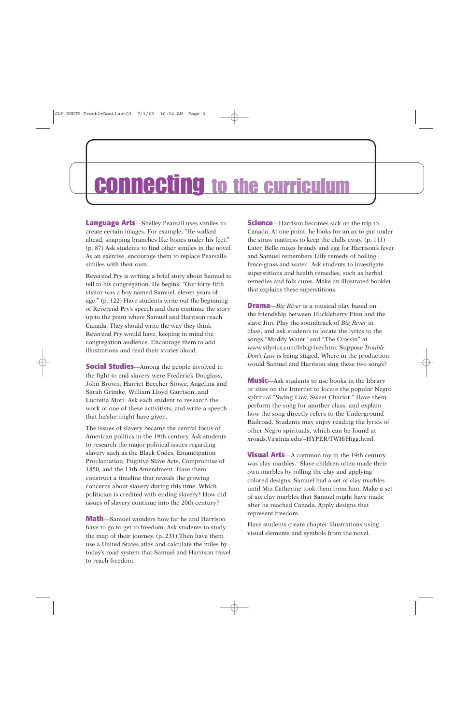## connecting to the curriculum

**Language Arts**—Shelley Pearsall uses similes to create certain images. For example, "He walked ahead, snapping branches like bones under his feet." (p. 87) Ask students to find other similes in the novel. As an exercise, encourage them to replace Pearsall's similes with their own.

Reverend Pry is writing a brief story about Samuel to tell to his congregation. He begins, "Our forty-fifth visitor was a boy named Samuel, eleven years of age." (p. 122) Have students write out the beginning of Reverend Pry's speech and then continue the story up to the point where Samuel and Harrison reach Canada. They should write the way they think Reverend Pry would have, keeping in mind the congregation audience. Encourage them to add illustrations and read their stories aloud.

**Social Studies**—Among the people involved in the fight to end slavery were Frederick Douglass, John Brown, Harriet Beecher Stowe, Angelina and Sarah Grimke, William Lloyd Garrison, and Lucretia Mott. Ask each student to research the work of one of these activitists, and write a speech that he/she might have given.

The issues of slavery became the central focus of American politics in the 19th century. Ask students to research the major political issues regarding slavery such as the Black Codes, Emancipation Proclamation, Fugitive Slave Acts, Compromise of 1850, and the 13th Amendment. Have them construct a timeline that reveals the growing concerns about slavery during this time. Which politician is credited with ending slavery? How did issues of slavery continue into the 20th century?

**Math**—Samuel wonders how far he and Harrison have to go to get to freedom. Ask students to study the map of their journey. (p. 231) Then have them use a United States atlas and calculate the miles by today's road system that Samuel and Harrison travel to reach freedom.

**Science**—Harrison becomes sick on the trip to Canada. At one point, he looks for an ax to put under the straw mattress to keep the chills away. (p. 111) Later, Belle mixes brandy and egg for Harrison's fever and Samuel remembers Lilly remedy of boiling fence-grass and water. Ask students to investigate superstitions and health remedies, such as herbal remedies and folk cures. Make an illustrated booklet that explains these superstitions.

**Drama**—*Big River* is a musical play based on the friendship between Huckleberry Finn and the slave Jim. Play the soundtrack of *Big River* in class, and ask students to locate the lyrics to the songs "Muddy Water" and "The Crossin" at www.stlyrics.com/b/bigriver.htm. Suppose *Trouble Don't Last* is being staged. Where in the production would Samuel and Harrison sing these two songs?

**Music**—Ask students to use books in the library or sites on the Internet to locate the popular Negro spiritual "Swing Low, Sweet Chariot." Have them perform the song for another class, and explain how the song directly refers to the Underground Railroad. Students may enjoy reading the lyrics of other Negro spirituals, which can be found at xroads.Virginia.edu/~HYPER/TWH/Higg.html.

**Visual Arts**—A common toy in the 19th century was clay marbles. Slave children often made their own marbles by rolling the clay and applying colored designs. Samuel had a set of clay marbles until Miz Catherine took them from him. Make a set of six clay marbles that Samuel might have made after he reached Canada. Apply designs that represent freedom.

Have students create chapter illustrations using visual elements and symbols from the novel.